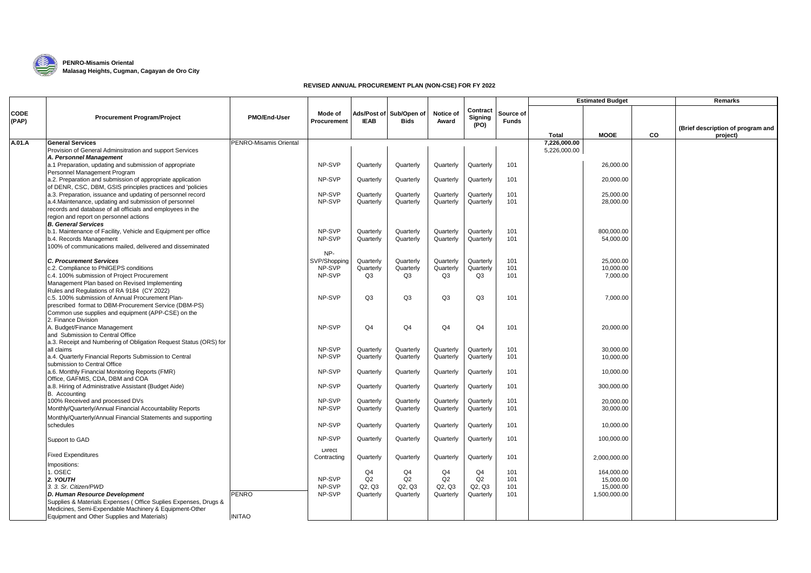

## **EXAMPENRO-Misamis Oriental Malasag Heights, Cugman, Cagayan de Oro City**

## **REVISED ANNUAL PROCUREMENT PLAN (NON-CSE) FOR FY 2022**

|                      |                                                                                                                                                                |                        |                              |                        |                                        |                        |                             |                           |              | <b>Estimated Budget</b>   |    | Remarks                                       |
|----------------------|----------------------------------------------------------------------------------------------------------------------------------------------------------------|------------------------|------------------------------|------------------------|----------------------------------------|------------------------|-----------------------------|---------------------------|--------------|---------------------------|----|-----------------------------------------------|
| <b>CODE</b><br>(PAP) | <b>Procurement Program/Project</b>                                                                                                                             | <b>PMO/End-User</b>    | Mode of<br>Procurement       | <b>IEAB</b>            | Ads/Post of Sub/Open of<br><b>Bids</b> | Notice of<br>Award     | Contract<br>Signing<br>(PO) | Source of<br><b>Funds</b> | Total        | <b>MOOE</b>               | CO | (Brief description of program and<br>project) |
| A.01.A               | <b>General Services</b>                                                                                                                                        | PENRO-Misamis Oriental |                              |                        |                                        |                        |                             |                           | 7,226,000.00 |                           |    |                                               |
|                      | Provision of General Adminsitration and support Services                                                                                                       |                        |                              |                        |                                        |                        |                             |                           | 5,226,000.00 |                           |    |                                               |
|                      | A. Personnel Management<br>a.1 Preparation, updating and submission of appropriate<br>Personnel Management Program                                             |                        | NP-SVP                       | Quarterly              | Quarterly                              | Quarterly              | Quarterly                   | 101                       |              | 26.000.00                 |    |                                               |
|                      | a.2. Preparation and submission of appropriate application<br>of DENR, CSC, DBM, GSIS principles practices and 'policies                                       |                        | NP-SVP                       | Quarterly              | Quarterly                              | Quarterly              | Quarterly                   | 101                       |              | 20,000.00                 |    |                                               |
|                      | a.3. Preparation, issuance and updating of personnel record                                                                                                    |                        | NP-SVP                       | Quarterly              | Quarterly                              | Quarterly              | Quarterly                   | 101                       |              | 25,000.00                 |    |                                               |
|                      | a.4. Maintenance, updating and submission of personnel<br>records and database of all officials and employees in the<br>region and report on personnel actions |                        | NP-SVP                       | Quarterly              | Quarterly                              | Quarterly              | Quarterly                   | 101                       |              | 28,000.00                 |    |                                               |
|                      | <b>B. General Services</b>                                                                                                                                     |                        |                              |                        |                                        |                        |                             |                           |              |                           |    |                                               |
|                      | b.1. Maintenance of Facility, Vehicle and Equipment per office                                                                                                 |                        | NP-SVP                       | Quarterly              | Quarterly                              | Quarterly              | Quarterly                   | 101                       |              | 800,000.00                |    |                                               |
|                      | b.4. Records Management<br>100% of communications mailed, delivered and disseminated                                                                           |                        | NP-SVP                       | Quarterly              | Quarterly                              | Quarterly              | Quarterly                   | 101                       |              | 54,000.00                 |    |                                               |
|                      |                                                                                                                                                                |                        | NP-                          |                        |                                        |                        |                             |                           |              |                           |    |                                               |
|                      | <b>C. Procurement Services</b><br>c.2. Compliance to PhilGEPS conditions                                                                                       |                        | SVP/Shopping<br>NP-SVP       | Quarterly<br>Quarterly | Quarterly<br>Quarterly                 | Quarterly<br>Quarterly | Quarterly<br>Quarterly      | 101<br>101                |              | 25,000.00<br>10,000.00    |    |                                               |
|                      | c.4. 100% submission of Project Procurement                                                                                                                    |                        | NP-SVP                       | O <sub>3</sub>         | Q3                                     | Q3                     | Q3                          | 101                       |              | 7,000.00                  |    |                                               |
|                      | Management Plan based on Revised Implementing<br>Rules and Regulations of RA 9184 (CY 2022)                                                                    |                        |                              |                        |                                        |                        |                             |                           |              |                           |    |                                               |
|                      | c.5. 100% submission of Annual Procurement Plan-<br>prescribed format to DBM-Procurement Service (DBM-PS)                                                      |                        | NP-SVP                       | O <sub>3</sub>         | Q3                                     | Q <sub>3</sub>         | Q3                          | 101                       |              | 7,000.00                  |    |                                               |
|                      | Common use supplies and equipment (APP-CSE) on the<br>2. Finance Division                                                                                      |                        |                              |                        |                                        |                        |                             |                           |              |                           |    |                                               |
|                      | A. Budget/Finance Management<br>and Submission to Central Office                                                                                               |                        | NP-SVP                       | Q <sub>4</sub>         | Q <sub>4</sub>                         | Q <sub>4</sub>         | Q <sub>4</sub>              | 101                       |              | 20,000.00                 |    |                                               |
|                      | a.3. Receipt and Numbering of Obligation Request Status (ORS) for<br>all claims                                                                                |                        | NP-SVP                       | Quarterly              | Quarterly                              |                        | Quarterly                   | 101                       |              | 30,000.00                 |    |                                               |
|                      | a.4. Quarterly Financial Reports Submission to Central<br>submission to Central Office                                                                         |                        | NP-SVP                       | Quarterly              | Quarterly                              | Quarterly<br>Quarterly | Quarterly                   | 101                       |              | 10,000.00                 |    |                                               |
|                      | a.6. Monthly Financial Monitoring Reports (FMR)<br>Office, GAFMIS, CDA, DBM and COA                                                                            |                        | NP-SVP                       | Quarterly              | Quarterly                              | Quarterly              | Quarterly                   | 101                       |              | 10,000.00                 |    |                                               |
|                      | a.8. Hiring of Administrative Assistant (Budget Aide)<br>B. Accounting                                                                                         |                        | NP-SVP                       | Quarterly              | Quarterly                              | Quarterly              | Quarterly                   | 101                       |              | 300,000.00                |    |                                               |
|                      | 100% Received and processed DVs                                                                                                                                |                        | NP-SVP                       | Quarterly              | Quarterly                              | Quarterly              | Quarterly                   | 101                       |              | 20.000.00                 |    |                                               |
|                      | Monthly/Quarterly/Annual Financial Accountability Reports                                                                                                      |                        | NP-SVP                       | Quarterly              | Quarterly                              | Quarterly              | Quarterly                   | 101                       |              | 30,000.00                 |    |                                               |
|                      | Monthly/Quarterly/Annual Financial Statements and supporting<br>schedules                                                                                      |                        | NP-SVP                       | Quarterly              | Quarterly                              | Quarterly              | Quarterly                   | 101                       |              | 10.000.00                 |    |                                               |
|                      | Support to GAD                                                                                                                                                 |                        | NP-SVP                       | Quarterly              | Quarterly                              | Quarterly              | Quarterly                   | 101                       |              | 100,000.00                |    |                                               |
|                      | <b>Fixed Expenditures</b>                                                                                                                                      |                        | <b>Direct</b><br>Contracting | Quarterly              | Quarterly                              | Quarterly              | Quarterly                   | 101                       |              | 2,000,000.00              |    |                                               |
|                      | Impositions:                                                                                                                                                   |                        |                              |                        |                                        |                        |                             |                           |              |                           |    |                                               |
|                      | 1. OSEC                                                                                                                                                        |                        |                              | O <sub>4</sub>         | Q <sub>4</sub>                         | Q <sub>4</sub>         | Q <sub>4</sub>              | 101                       |              | 164,000.00                |    |                                               |
|                      | 2. YOUTH                                                                                                                                                       |                        | NP-SVP<br>NP-SVP             | Q2                     | Q2<br>Q2, Q3                           | Q2                     | Q2<br>Q2, Q3                | 101<br>101                |              | 15,000.00                 |    |                                               |
|                      | 3. 3. Sr. Citizen/PWD<br>D. Human Resource Development                                                                                                         | PENRO                  | NP-SVP                       | Q2, Q3<br>Quarterly    | Quarterly                              | Q2, Q3<br>Quarterly    | Quarterly                   | 101                       |              | 15,000.00<br>1,500,000.00 |    |                                               |
|                      | Supplies & Materials Expenses (Office Suplies Expenses, Drugs &                                                                                                |                        |                              |                        |                                        |                        |                             |                           |              |                           |    |                                               |
|                      | Medicines, Semi-Expendable Machinery & Equipment-Other                                                                                                         |                        |                              |                        |                                        |                        |                             |                           |              |                           |    |                                               |
|                      | Equipment and Other Supplies and Materials)                                                                                                                    | <b>INITAO</b>          |                              |                        |                                        |                        |                             |                           |              |                           |    |                                               |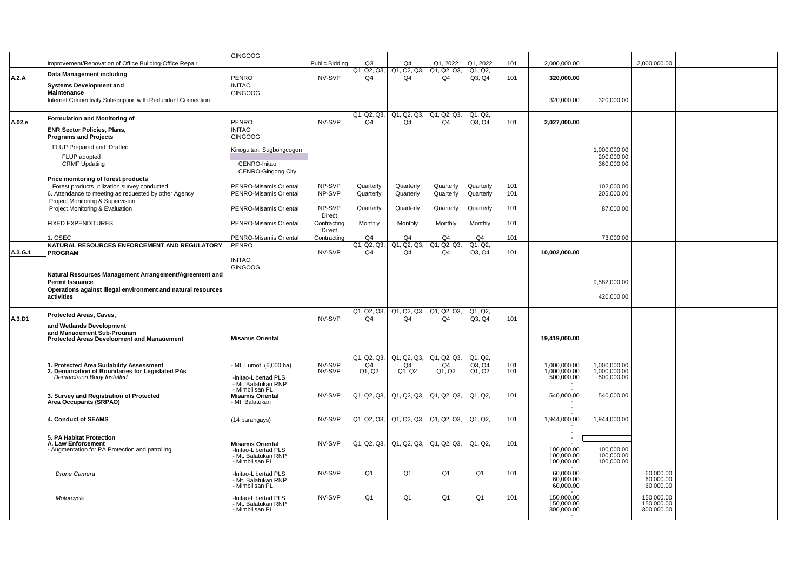|         |                                                                                                       | <b>GINGOOG</b>                                   |                       |                               |                         |                                           |                        |            |                            |                            |                        |  |
|---------|-------------------------------------------------------------------------------------------------------|--------------------------------------------------|-----------------------|-------------------------------|-------------------------|-------------------------------------------|------------------------|------------|----------------------------|----------------------------|------------------------|--|
|         | Improvement/Renovation of Office Building-Office Repair                                               |                                                  | Public Bidding        | Q <sub>3</sub>                | Q4                      | Q1, 2022                                  | Q1, 2022               | 101        | 2,000,000.00               |                            | 2,000,000.00           |  |
|         | Data Management including                                                                             |                                                  |                       | Q1, Q2, Q3,                   | Q1, Q2, Q3,             | Q1, Q2, Q3,                               | Q1, Q2,                |            |                            |                            |                        |  |
| A.2.A   | <b>Systems Development and</b>                                                                        | <b>PENRO</b><br><b>INITAO</b>                    | NV-SVP                | Q4                            | Q4                      | Q4                                        | Q3, Q4                 | 101        | 320,000.00                 |                            |                        |  |
|         | Maintenance                                                                                           | <b>GINGOOG</b>                                   |                       |                               |                         |                                           |                        |            |                            |                            |                        |  |
|         | Internet Connectivity Subscription with Redundant Connection                                          |                                                  |                       |                               |                         |                                           |                        |            | 320,000.00                 | 320,000.00                 |                        |  |
|         |                                                                                                       |                                                  |                       |                               |                         |                                           |                        |            |                            |                            |                        |  |
|         | Formulation and Monitoring of                                                                         |                                                  | NV-SVP                | Q1, Q2, Q3,<br>Q <sub>4</sub> | Q4                      | Q1, Q2, Q3, Q1, Q2, Q3,<br>O <sub>4</sub> | Q1, Q2,                | 101        |                            |                            |                        |  |
| A.02.e  | <b>ENR Sector Policies, Plans.</b>                                                                    | PENRO<br><b>INITAO</b>                           |                       |                               |                         |                                           | Q3, Q4                 |            | 2,027,000.00               |                            |                        |  |
|         | <b>Programs and Projects</b>                                                                          | <b>GINGOOG</b>                                   |                       |                               |                         |                                           |                        |            |                            |                            |                        |  |
|         | FLUP Prepared and Drafted                                                                             |                                                  |                       |                               |                         |                                           |                        |            |                            |                            |                        |  |
|         | FLUP adopted                                                                                          | Kinoguitan, Sugbongcogon                         |                       |                               |                         |                                           |                        |            |                            | 1.000.000.00<br>200,000.00 |                        |  |
|         | <b>CRMF Updating</b>                                                                                  | CENRO-Initao                                     |                       |                               |                         |                                           |                        |            |                            | 360,000.00                 |                        |  |
|         |                                                                                                       | <b>CENRO-Gingoog City</b>                        |                       |                               |                         |                                           |                        |            |                            |                            |                        |  |
|         | Price monitoring of forest products                                                                   |                                                  |                       |                               |                         |                                           |                        |            |                            |                            |                        |  |
|         | Forest products utilization survey conducted<br>6. Attendance to meeting as requested by other Agency | PENRO-Misamis Oriental<br>PENRO-Misamis Oriental | NP-SVP<br>NP-SVP      | Quarterly<br>Quarterly        | Quarterly<br>Quarterly  | Quarterly<br>Quarterly                    | Quarterly<br>Quarterly | 101<br>101 |                            | 102,000.00<br>205,000.00   |                        |  |
|         | Project Monitoring & Supervision                                                                      |                                                  |                       |                               |                         |                                           |                        |            |                            |                            |                        |  |
|         | Project Monitoring & Evaluation                                                                       | PENRO-Misamis Oriental                           | NP-SVP                | Quarterly                     | Quarterly               | Quarterly                                 | Quarterly              | 101        |                            | 87,000.00                  |                        |  |
|         |                                                                                                       |                                                  | Direct                |                               |                         |                                           |                        |            |                            |                            |                        |  |
|         | <b>FIXED EXPENDITURES</b>                                                                             | <b>PENRO-Misamis Oriental</b>                    | Contracting<br>Direct | Monthly                       | Monthly                 | Monthly                                   | Monthly                | 101        |                            |                            |                        |  |
|         | 1. OSEC                                                                                               | <b>PENRO-Misamis Oriental</b>                    | Contracting           | O <sub>4</sub>                | O <sub>4</sub>          | O <sub>4</sub>                            | Q <sub>4</sub>         | 101        |                            | 73,000.00                  |                        |  |
|         | NATURAL RESOURCES ENFORCEMENT AND REGULATORY                                                          | PENRO                                            |                       | Q1, Q2, Q3,                   | Q1, Q2, Q3,             | Q1, Q2, Q3,                               | Q1, Q2,                |            |                            |                            |                        |  |
| A.3.G.1 | <b>PROGRAM</b>                                                                                        |                                                  | NV-SVP                | $\Omega$ 4                    | Q4                      | Q4                                        | Q3. Q4                 | 101        | 10,002,000.00              |                            |                        |  |
|         |                                                                                                       | <b>INITAO</b>                                    |                       |                               |                         |                                           |                        |            |                            |                            |                        |  |
|         | Natural Resources Management Arrangement/Agreement and                                                | <b>GINGOOG</b>                                   |                       |                               |                         |                                           |                        |            |                            |                            |                        |  |
|         | <b>Permit Issuance</b>                                                                                |                                                  |                       |                               |                         |                                           |                        |            |                            | 9,582,000.00               |                        |  |
|         | Operations against illegal environment and natural resources                                          |                                                  |                       |                               |                         |                                           |                        |            |                            |                            |                        |  |
|         | activities                                                                                            |                                                  |                       |                               |                         |                                           |                        |            |                            | 420,000.00                 |                        |  |
|         |                                                                                                       |                                                  |                       | Q1, Q2, Q3,                   | Q1, Q2, Q3, Q1, Q2, Q3, |                                           | Q1, Q2,                |            |                            |                            |                        |  |
| A.3.D1  | Protected Areas, Caves,                                                                               |                                                  | NV-SVP                | O <sub>4</sub>                | O <sub>4</sub>          | O <sub>4</sub>                            | Q3. Q4                 | 101        |                            |                            |                        |  |
|         | and Wetlands Development<br>and Management Sub-Program                                                |                                                  |                       |                               |                         |                                           |                        |            |                            |                            |                        |  |
|         | <b>Protected Areas Development and Management</b>                                                     | <b>Misamis Oriental</b>                          |                       |                               |                         |                                           |                        |            | 19,419,000.00              |                            |                        |  |
|         |                                                                                                       |                                                  |                       |                               |                         |                                           |                        |            |                            |                            |                        |  |
|         |                                                                                                       |                                                  |                       | Q1, Q2, Q3,                   | Q1, Q2, Q3,             | Q1, Q2, Q3,                               | Q1, Q2,                |            |                            |                            |                        |  |
|         | 1. Protected Area Suitability Assessment                                                              | Mt. Lumot (6,000 ha)                             | NV-SVP                | Q4                            | Q4                      | Q4                                        | Q3. Q4                 | 101        | 1.000.000.00               | 1.000.000.00               |                        |  |
|         | 2. Demarcation of Boundaries for Legislated PAs<br><b>Demarctaion Buoy Installed</b>                  | -Initao-Libertad PLS                             | NV-SVP                | Q1, Q2                        | Q1, Q2                  | Q1, Q2                                    | Q1, Q2                 | 101        | 1,000,000.00<br>500,000.00 | 1,000,000.00<br>500,000.00 |                        |  |
|         |                                                                                                       | - Mt. Balatukan RNP                              |                       |                               |                         |                                           |                        |            |                            |                            |                        |  |
|         | 3. Survey and Registration of Protected                                                               | Mimbilisan PL<br>Misamis Oriental                | NV-SVP                | Q1, Q2, Q3,                   | Q1, Q2, Q3,             | Q1, Q2, Q3,                               | Q1, Q2,                | 101        | 540,000.00                 | 540,000.00                 |                        |  |
|         | Area Occupants (SRPAO)                                                                                | - Mt. Balatukan                                  |                       |                               |                         |                                           |                        |            |                            |                            |                        |  |
|         |                                                                                                       |                                                  |                       |                               |                         |                                           |                        |            |                            |                            |                        |  |
|         | 4. Conduct of SEAMS                                                                                   | (14 barangays)                                   | NV-SVP                | Q1, Q2, Q3,                   |                         | Q1, Q2, Q3, Q1, Q2, Q3,                   | Q1, Q2,                | 101        | 1,944,000.00               | 1,944,000.00               |                        |  |
|         |                                                                                                       |                                                  |                       |                               |                         |                                           |                        |            |                            |                            |                        |  |
|         | 5. PA Habitat Protection<br>A. Law Enforcement                                                        |                                                  | NV-SVP                | Q1, Q2, Q3,                   |                         | Q1, Q2, Q3, Q1, Q2, Q3,                   | Q1, Q2,                | 101        |                            |                            |                        |  |
|         | Augmentation for PA Protection and patrolling                                                         | <b>Misamis Oriental</b><br>-Initao-Libertad PLS  |                       |                               |                         |                                           |                        |            | 100,000.00                 | 100,000.00                 |                        |  |
|         |                                                                                                       | - Mt. Balatukan RNP<br>Mimbilisan PL             |                       |                               |                         |                                           |                        |            | 100,000.00                 | 100,000.00                 |                        |  |
|         |                                                                                                       |                                                  |                       |                               |                         |                                           |                        |            | 100,000.00                 | 100,000.00                 |                        |  |
|         | Drone Camera                                                                                          | -Initao-Libertad PLS                             | NV-SVP                | Q1                            | Q1                      | Q <sub>1</sub>                            | Q <sub>1</sub>         | 101        | 60,000.00<br>60,000.00     |                            | 60,000.00<br>60,000.00 |  |
|         |                                                                                                       | Mt. Balatukan RNP<br>Mt. Balatukan RNP           |                       |                               |                         |                                           |                        |            | 60,000.00                  |                            | 60,000.00              |  |
|         | Motorcycle                                                                                            | -Initao-Libertad PLS                             | NV-SVP                | Q <sub>1</sub>                | Q <sub>1</sub>          | Q <sub>1</sub>                            | Q <sub>1</sub>         | 101        | 150,000.00                 |                            | 150,000.00             |  |
|         |                                                                                                       | Mt. Balatukan RNP                                |                       |                               |                         |                                           |                        |            | 150,000.00                 |                            | 150,000.00             |  |
|         |                                                                                                       | Mimbilisan PL                                    |                       |                               |                         |                                           |                        |            | 300,000.00                 |                            | 300,000.00             |  |
|         |                                                                                                       |                                                  |                       |                               |                         |                                           |                        |            |                            |                            |                        |  |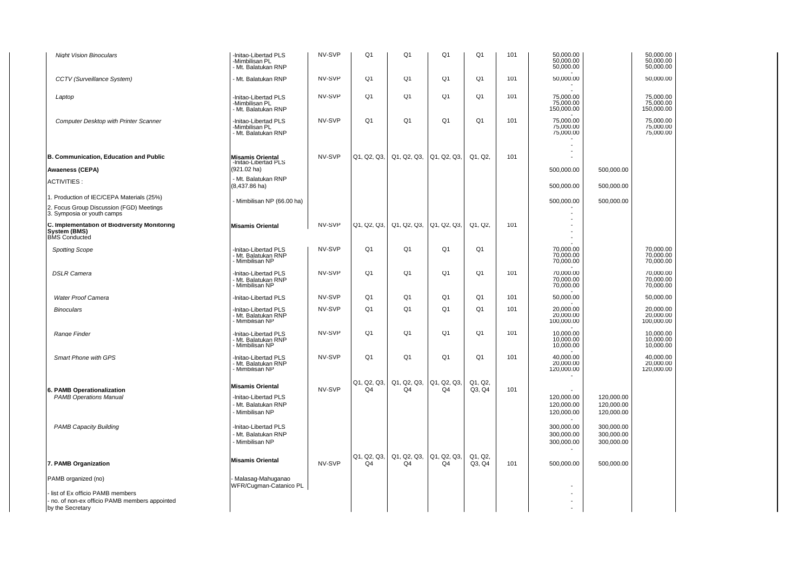| <b>Night Vision Binoculars</b>                                                       | -Initao-Libertad PLS<br>-Mimbilisan PL<br>- Mt. Balatukan RNP  | NV-SVP | Q <sub>1</sub>                | Q <sub>1</sub>                             | Q <sub>1</sub>    | Q <sub>1</sub>    | 101 | 50,000.00<br>50,000.00<br>50,000.00    |                                        | 50,000.00<br>50,000.00<br>50,000.00  |
|--------------------------------------------------------------------------------------|----------------------------------------------------------------|--------|-------------------------------|--------------------------------------------|-------------------|-------------------|-----|----------------------------------------|----------------------------------------|--------------------------------------|
| CCTV (Surveillance System)                                                           | - Mt. Balatukan RNP                                            | NV-SVP | Q <sub>1</sub>                | Q <sub>1</sub>                             | Q <sub>1</sub>    | Q1                | 101 | 50,000.00                              |                                        | 50,000.00                            |
| Laptop                                                                               | -Initao-Libertad PLS<br>-Mimbilisan PL<br>- Mt. Balatukan RNP  | NV-SVP | Q <sub>1</sub>                | Q <sub>1</sub>                             | Q1                | Q1                | 101 | 75,000.00<br>75,000.00<br>150,000.00   |                                        | 75,000.00<br>75,000.00<br>150,000.00 |
| <b>Computer Desktop with Printer Scanner</b>                                         | -Initao-Libertad PLS<br>-Mimbilisan PL<br>- Mt. Balatukan RNP  | NV-SVP | Q <sub>1</sub>                | Q <sub>1</sub>                             | Q <sub>1</sub>    | Q <sub>1</sub>    | 101 | 75.000.00<br>75,000.00<br>75,000.00    |                                        | 75.000.00<br>75,000.00<br>75,000.00  |
| B. Communication, Education and Public                                               | Misamis Oriental<br>-Initao-Libertad PLS                       | NV-SVP | Q1, Q2, Q3,                   | Q1, Q2, Q3,                                | Q1, Q2, Q3,       | Q1, Q2,           | 101 | $\overline{a}$                         |                                        |                                      |
| <b>Awaeness (CEPA)</b>                                                               | (921.02 ha)                                                    |        |                               |                                            |                   |                   |     | 500,000.00                             | 500,000.00                             |                                      |
| <b>ACTIVITIES:</b>                                                                   | - Mt. Balatukan RNP<br>$(8,437.86 \text{ ha})$                 |        |                               |                                            |                   |                   |     | 500,000.00                             | 500,000.00                             |                                      |
| 1. Production of IEC/CEPA Materials (25%)                                            | - Mimbilisan NP (66.00 ha)                                     |        |                               |                                            |                   |                   |     | 500,000.00                             | 500,000.00                             |                                      |
| 2. Focus Group Discussion (FGD) Meetings<br>3. Symposia or youth camps               |                                                                |        |                               |                                            |                   |                   |     |                                        |                                        |                                      |
| C. Implementation of Biodiversity Monitoring<br>System (BMS)<br><b>BMS</b> Conducted | <b>Misamis Oriental</b>                                        | NV-SVP | Q1, Q2, Q3,                   | Q1, Q2, Q3,                                | Q1, Q2, Q3,       | Q1. Q2.           | 101 |                                        |                                        |                                      |
| <b>Spotting Scope</b>                                                                | -Initao-Libertad PLS<br>- Mt. Balatukan RNP<br>- Mimbilisan NP | NV-SVP | Q <sub>1</sub>                | Q <sub>1</sub>                             | Q <sub>1</sub>    | Q1                |     | 70,000.00<br>70,000.00<br>70,000.00    |                                        | 70,000.00<br>70,000.00<br>70,000.00  |
| <b>DSLR Camera</b>                                                                   | -Initao-Libertad PLS<br>- Mt. Balatukan RNP<br>- Mimbilisan NP | NV-SVP | Q <sub>1</sub>                | Q <sub>1</sub>                             | Q <sub>1</sub>    | Q <sub>1</sub>    | 101 | 70,000.00<br>70,000.00<br>70,000.00    |                                        | 70,000.00<br>70,000.00<br>70,000.00  |
| <b>Water Proof Camera</b>                                                            | -Initao-Libertad PLS                                           | NV-SVP | Q1                            | Q <sub>1</sub>                             | Q1                | Q <sub>1</sub>    | 101 | 50,000.00                              |                                        | 50,000.00                            |
| <b>Binoculars</b>                                                                    | -Initao-Libertad PLS<br>Mt. Balatukan RNP<br>- Mimbilisan NP   | NV-SVP | Q1                            | Q <sub>1</sub>                             | Q <sub>1</sub>    | Q <sub>1</sub>    | 101 | 20,000.00<br>20,000.00<br>100,000.00   |                                        | 20,000.00<br>20,000.00<br>100,000.00 |
| Range Finder                                                                         | -Initao-Libertad PLS<br>- Mt. Balatukan RNP<br>- Mimbilisan NP | NV-SVP | Q <sub>1</sub>                | Q <sub>1</sub>                             | Q <sub>1</sub>    | Q <sub>1</sub>    | 101 | 10,000.00<br>10,000.00<br>10,000.00    |                                        | 10,000.00<br>10,000.00<br>10,000.00  |
| Smart Phone with GPS                                                                 | -Initao-Libertad PLS<br>- Mt. Balatukan RNP<br>- Mimbilisan NP | NV-SVP | Q <sub>1</sub>                | Q1                                         | Q <sub>1</sub>    | Q <sub>1</sub>    | 101 | 40,000.00<br>20,000.00<br>120,000.00   |                                        | 40,000.00<br>20,000.00<br>120,000.00 |
| 6. PAMB Operationalization                                                           | <b>Misamis Oriental</b>                                        | NV-SVP | Q1, Q2, Q3,<br>Q <sub>4</sub> | Q1, Q2, Q3,<br>Q <sub>4</sub>              | Q1, Q2, Q3,<br>Q4 | Q1, Q2,<br>Q3, Q4 | 101 |                                        |                                        |                                      |
| <b>PAMB Operations Manual</b>                                                        | -Initao-Libertad PLS<br>- Mt. Balatukan RNP<br>- Mimbilisan NP |        |                               |                                            |                   |                   |     | 120,000.00<br>120,000.00<br>120,000.00 | 120,000.00<br>120,000.00<br>120,000.00 |                                      |
| <b>PAMB Capacity Building</b>                                                        | -Initao-Libertad PLS<br>- Mt. Balatukan RNP<br>- Mimbilisan NP |        |                               |                                            |                   |                   |     | 300,000.00<br>300,000.00<br>300,000.00 | 300,000.00<br>300,000.00<br>300,000.00 |                                      |
| 7. PAMB Organization                                                                 | <b>Misamis Oriental</b>                                        | NV-SVP | Q1, Q2, Q3,<br>Q <sub>4</sub> | Q1, Q2, Q3,  Q1, Q2, Q3,<br>Q <sub>4</sub> | Q4                | Q1, Q2,<br>Q3, Q4 | 101 | 500,000.00                             | 500,000.00                             |                                      |
| PAMB organized (no)                                                                  | Malasag-Mahuganao<br>WFR/Cugman-Catanico PL                    |        |                               |                                            |                   |                   |     |                                        |                                        |                                      |
| list of Ex officio PAMB members                                                      |                                                                |        |                               |                                            |                   |                   |     |                                        |                                        |                                      |
| no. of non-ex officio PAMB members appointed<br>by the Secretary                     |                                                                |        |                               |                                            |                   |                   |     |                                        |                                        |                                      |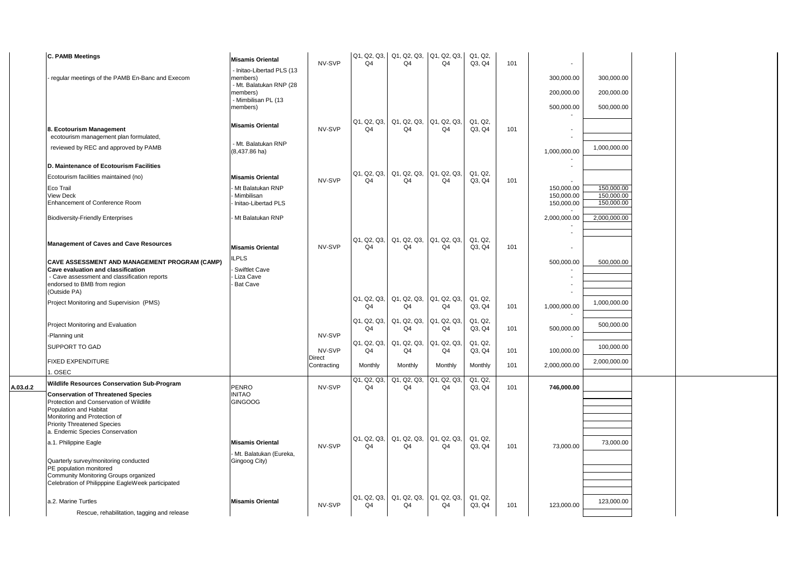|          | <b>C. PAMB Meetings</b>                                                                                                                                                            | <b>Misamis Oriental</b>                                                                                         | NV-SVP           | Q <sub>4</sub>                | $ Q1, Q2, Q3,  Q1, Q2, Q3,  Q1, Q2, Q3,$<br>Q <sub>4</sub> | Q <sub>4</sub> | Q1, Q2,<br>Q3, Q4 | 101 |                                        |                                        |  |
|----------|------------------------------------------------------------------------------------------------------------------------------------------------------------------------------------|-----------------------------------------------------------------------------------------------------------------|------------------|-------------------------------|------------------------------------------------------------|----------------|-------------------|-----|----------------------------------------|----------------------------------------|--|
|          | regular meetings of the PAMB En-Banc and Execom                                                                                                                                    | - Initao-Libertad PLS (13<br>members)<br>- Mt. Balatukan RNP (28<br>members)<br>- Mimbilisan PL (13<br>members) |                  |                               |                                                            |                |                   |     | 300,000.00<br>200,000.00<br>500,000.00 | 300,000.00<br>200,000.00<br>500,000.00 |  |
|          | 8. Ecotourism Management<br>ecotourism management plan formulated,                                                                                                                 | <b>Misamis Oriental</b>                                                                                         | NV-SVP           | Q <sub>4</sub>                | Q1, Q2, Q3, Q1, Q2, Q3, Q1, Q2, Q3,<br>Q <sub>4</sub>      | Q4             | Q1, Q2,<br>Q3, Q4 | 101 | $\overline{\phantom{a}}$               |                                        |  |
|          | reviewed by REC and approved by PAMB                                                                                                                                               | - Mt. Balatukan RNP<br>$(8,437.86$ ha)                                                                          |                  |                               |                                                            |                |                   |     | 1,000,000.00                           | 1,000,000.00                           |  |
|          | D. Maintenance of Ecotourism Facilities                                                                                                                                            |                                                                                                                 |                  |                               |                                                            |                |                   |     |                                        |                                        |  |
|          | Ecotourism facilities maintained (no)                                                                                                                                              | <b>Misamis Oriental</b>                                                                                         | NV-SVP           | Q <sub>4</sub>                | Q1, Q2, Q3,  Q1, Q2, Q3,  Q1, Q2, Q3,<br>O <sub>4</sub>    | Q <sub>4</sub> | Q1, Q2,<br>Q3, Q4 | 101 |                                        |                                        |  |
|          | Eco Trail<br><b>View Deck</b><br>Enhancement of Conference Room                                                                                                                    | Mt Balatukan RNP<br>Mimbilisan<br>Initao-Libertad PLS                                                           |                  |                               |                                                            |                |                   |     | 150,000.00<br>150,000.00<br>150,000.00 | 150,000.00<br>150,000.00<br>150,000.00 |  |
|          | <b>Biodiversity-Friendly Enterprises</b>                                                                                                                                           | Mt Balatukan RNP                                                                                                |                  |                               |                                                            |                |                   |     | 2,000,000.00                           | 2,000,000.00                           |  |
|          | <b>Management of Caves and Cave Resources</b>                                                                                                                                      | <b>Misamis Oriental</b>                                                                                         | NV-SVP           | Q1, Q2, Q3,<br>Q <sub>4</sub> | Q1, Q2, Q3, Q1, Q2, Q3,<br>Q4                              | Q <sub>4</sub> | Q1, Q2,<br>Q3, Q4 | 101 |                                        |                                        |  |
|          | CAVE ASSESSMENT AND MANAGEMENT PROGRAM (CAMP)<br>Cave evaluation and classification<br>- Cave assessment and classification reports<br>endorsed to BMB from region<br>(Outside PA) | <b>ILPLS</b><br>Swiftlet Cave<br>Liza Cave<br><b>Bat Cave</b>                                                   |                  |                               |                                                            |                |                   |     | 500,000.00                             | 500,000.00                             |  |
|          | Project Monitoring and Supervision (PMS)                                                                                                                                           |                                                                                                                 |                  | Q1, Q2, Q3,<br>Q <sub>4</sub> | Q1, Q2, Q3, Q1, Q2, Q3,<br>Q <sub>4</sub>                  | Q <sub>4</sub> | Q1, Q2,<br>Q3, Q4 | 101 | 1,000,000.00                           | 1,000,000.00                           |  |
|          | Project Monitoring and Evaluation                                                                                                                                                  |                                                                                                                 |                  | Q1, Q2, Q3,<br>Q <sub>4</sub> | Q1, Q2, Q3, Q1, Q2, Q3,<br>Q <sub>4</sub>                  | Q4             | Q1, Q2,<br>Q3, Q4 | 101 | 500,000.00                             | 500,000.00                             |  |
|          | -Planning unit                                                                                                                                                                     |                                                                                                                 | NV-SVP           | Q1, Q2, Q3,                   | Q1, Q2, Q3, Q1, Q2, Q3,                                    |                | Q1, Q2,           |     |                                        |                                        |  |
|          | SUPPORT TO GAD                                                                                                                                                                     |                                                                                                                 | NV-SVP<br>Direct | Q4                            | Q <sub>4</sub>                                             | Q4             | Q3, Q4            | 101 | 100,000.00                             | 100,000.00                             |  |
|          | <b>FIXED EXPENDITURE</b><br>1. OSEC                                                                                                                                                |                                                                                                                 | Contracting      | Monthly                       | Monthly                                                    | Monthly        | Monthly           | 101 | 2,000,000.00                           | 2,000,000.00                           |  |
| A.03.d.2 | Wildlife Resources Conservation Sub-Program<br><b>Conservation of Threatened Species</b><br>Protection and Conservation of Wildlife                                                | PENRO<br><b>INITAO</b>                                                                                          | NV-SVP           | Q1, Q2, Q3,<br>Q <sub>4</sub> | Q1, Q2, Q3, Q1, Q2, Q3,<br>Q4                              | Q4             | Q1, Q2,<br>Q3, Q4 | 101 | 746,000.00                             |                                        |  |
|          | Population and Habitat<br>Monitoring and Protection of<br><b>Priority Threatened Species</b><br>a. Endemic Species Conservation                                                    | <b>GINGOOG</b>                                                                                                  |                  |                               |                                                            |                |                   |     |                                        |                                        |  |
|          | a.1. Philippine Eagle<br>Quarterly survey/monitoring conducted                                                                                                                     | <b>Misamis Oriental</b><br>Mt. Balatukan (Eureka,<br>Gingoog City)                                              | NV-SVP           | Q4                            | Q1, Q2, Q3, Q1, Q2, Q3, Q1, Q2, Q3,<br>Q4                  | Q4             | Q1, Q2,<br>Q3, Q4 | 101 | 73,000.00                              | 73,000.00                              |  |
|          | PE population monitored<br>Community Monitoring Groups organized<br>Celebration of Philipppine EagleWeek participated                                                              |                                                                                                                 |                  |                               |                                                            |                |                   |     |                                        |                                        |  |
|          | a.2. Marine Turtles                                                                                                                                                                | <b>Misamis Oriental</b>                                                                                         | NV-SVP           | Q1, Q2, Q3,<br>Q <sub>4</sub> | Q1, Q2, Q3, Q1, Q2, Q3,<br>Q4                              | Q <sub>4</sub> | Q1, Q2,<br>Q3, Q4 | 101 | 123,000.00                             | 123,000.00                             |  |
|          | Rescue, rehabilitation, tagging and release                                                                                                                                        |                                                                                                                 |                  |                               |                                                            |                |                   |     |                                        |                                        |  |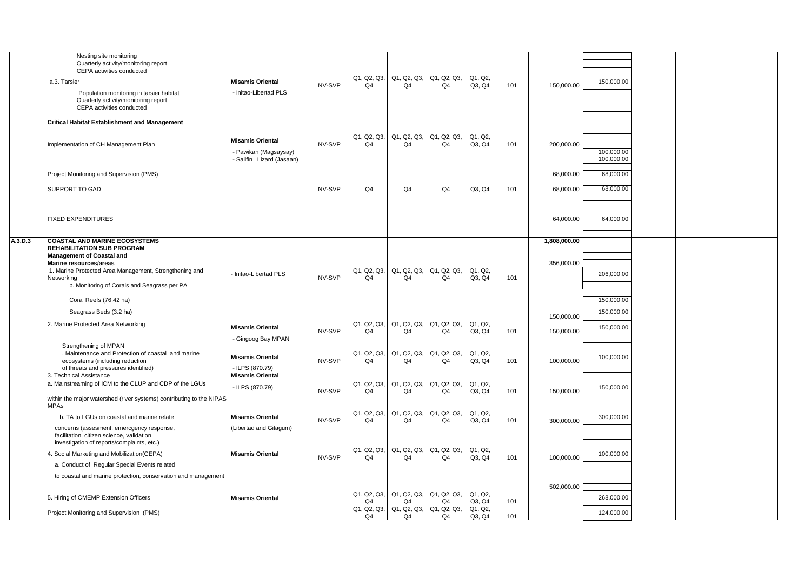|         | Nesting site monitoring<br>Quarterly activity/monitoring report<br>CEPA activities conducted<br>a.3. Tarsier                                                                                                           | <b>Misamis Oriental</b>                                                   | NV-SVP | Q1, Q2, Q3,<br>Q <sub>4</sub> | Q1, Q2, Q3, Q1, Q2, Q3,<br>Q <sub>4</sub> | Q4                | Q1, Q2,<br>Q3, Q4 | 101 | 150,000.00   | 150,000.00               |  |  |
|---------|------------------------------------------------------------------------------------------------------------------------------------------------------------------------------------------------------------------------|---------------------------------------------------------------------------|--------|-------------------------------|-------------------------------------------|-------------------|-------------------|-----|--------------|--------------------------|--|--|
|         | Population monitoring in tarsier habitat<br>Quarterly activity/monitoring report<br>CEPA activities conducted                                                                                                          | Initao-Libertad PLS                                                       |        |                               |                                           |                   |                   |     |              |                          |  |  |
|         | <b>Critical Habitat Establishment and Management</b>                                                                                                                                                                   |                                                                           |        |                               |                                           |                   |                   |     |              |                          |  |  |
|         | Implementation of CH Management Plan                                                                                                                                                                                   | <b>Misamis Oriental</b><br>Pawikan (Magsaysay)<br>Sailfin Lizard (Jasaan) | NV-SVP | Q1, Q2, Q3,<br>Q <sub>4</sub> | Q1, Q2, Q3, Q1, Q2, Q3,<br>Q <sub>4</sub> | Q4                | Q1, Q2,<br>Q3, Q4 | 101 | 200,000.00   | 100.000.00<br>100,000.00 |  |  |
|         | Project Monitoring and Supervision (PMS)                                                                                                                                                                               |                                                                           |        |                               |                                           |                   |                   |     | 68,000.00    | 68,000.00                |  |  |
|         | SUPPORT TO GAD                                                                                                                                                                                                         |                                                                           | NV-SVP | Q4                            | Q <sub>4</sub>                            | Q <sub>4</sub>    | Q3, Q4            | 101 | 68,000.00    | 68,000.00                |  |  |
|         | FIXED EXPENDITURES                                                                                                                                                                                                     |                                                                           |        |                               |                                           |                   |                   |     | 64,000.00    | 64,000.00                |  |  |
| A.3.D.3 | <b>COASTAL AND MARINE ECOSYSTEMS</b>                                                                                                                                                                                   |                                                                           |        |                               |                                           |                   |                   |     | 1,808,000.00 |                          |  |  |
|         | <b>REHABILITATION SUB PROGRAM</b><br><b>Management of Coastal and</b><br>Marine resources/areas<br>1. Marine Protected Area Management, Strengthening and<br>Networking<br>b. Monitoring of Corals and Seagrass per PA | Initao-Libertad PLS                                                       | NV-SVP | Q1, Q2, Q3,<br>Q4             | Q1, Q2, Q3, Q1, Q2, Q3,<br>Q <sub>4</sub> | Q4                | Q1, Q2,<br>Q3, Q4 | 101 | 356,000.00   | 206,000.00               |  |  |
|         | Coral Reefs (76.42 ha)                                                                                                                                                                                                 |                                                                           |        |                               |                                           |                   |                   |     |              | 150,000.00               |  |  |
|         | Seagrass Beds (3.2 ha)                                                                                                                                                                                                 |                                                                           |        |                               |                                           |                   |                   |     | 150,000.00   | 150,000.00               |  |  |
|         | 2. Marine Protected Area Networking                                                                                                                                                                                    | <b>Misamis Oriental</b><br>Gingoog Bay MPAN                               | NV-SVP | Q1, Q2, Q3,<br>Q4             | Q1, Q2, Q3, Q1, Q2, Q3,<br>Q4             | Q4                | Q1, Q2,<br>Q3, Q4 | 101 | 150,000.00   | 150,000.00               |  |  |
|         | Strengthening of MPAN<br>. Maintenance and Protection of coastal and marine<br>ecosystems (including reduction<br>of threats and pressures identified)<br>3. Technical Assistance                                      | <b>Misamis Oriental</b><br>LLPS (870.79)<br><b>Misamis Oriental</b>       | NV-SVP | Q1, Q2, Q3,<br>Q <sub>4</sub> | Q1, Q2, Q3,<br>Q <sub>4</sub>             | Q1, Q2, Q3,<br>Q4 | Q1, Q2,<br>Q3, Q4 | 101 | 100,000.00   | 100,000.00               |  |  |
|         | a. Mainstreaming of ICM to the CLUP and CDP of the LGUs<br>within the major watershed (river systems) contributing to the NIPAS                                                                                        | - ILPS (870.79)                                                           | NV-SVP | Q1, Q2, Q3,<br>Q4             | Q1, Q2, Q3, Q1, Q2, Q3,<br>Q4             | Q4                | Q1, Q2,<br>Q3, Q4 | 101 | 150,000.00   | 150,000.00               |  |  |
|         | <b>MPAs</b>                                                                                                                                                                                                            |                                                                           |        | Q1, Q2, Q3,                   | Q1, Q2, Q3,                               | Q1, Q2, Q3,       | Q1, Q2,           |     |              |                          |  |  |
|         | b. TA to LGUs on coastal and marine relate<br>concerns (assesment, emercgency response,<br>facilitation, citizen science, validation<br>investigation of reports/complaints, etc.)                                     | <b>Misamis Oriental</b><br>(Libertad and Gitagum)                         | NV-SVP | Q <sub>4</sub>                | Q4                                        | Q <sub>4</sub>    | Q3, Q4            | 101 | 300,000.00   | 300,000.00               |  |  |
|         | 4. Social Marketing and Mobilization(CEPA)                                                                                                                                                                             | <b>Misamis Oriental</b>                                                   | NV-SVP | Q1, Q2, Q3,<br>Q4             | Q1, Q2, Q3, Q1, Q2, Q3,<br>Q4             | Q <sub>4</sub>    | Q1, Q2,<br>Q3, Q4 | 101 | 100,000.00   | 100,000.00               |  |  |
|         | a. Conduct of Regular Special Events related                                                                                                                                                                           |                                                                           |        |                               |                                           |                   |                   |     |              |                          |  |  |
|         | to coastal and marine protection, conservation and management                                                                                                                                                          |                                                                           |        |                               |                                           |                   |                   |     |              |                          |  |  |
|         | 5. Hiring of CMEMP Extension Officers                                                                                                                                                                                  | <b>Misamis Oriental</b>                                                   |        | Q1, Q2, Q3,<br>Q <sub>4</sub> | Q1, Q2, Q3,<br>Q <sub>4</sub>             | Q1, Q2, Q3,<br>Q4 | Q1, Q2,<br>Q3, Q4 | 101 | 502,000.00   | 268,000.00               |  |  |
|         | Project Monitoring and Supervision (PMS)                                                                                                                                                                               |                                                                           |        | Q1, Q2, Q3,<br>Q4             | Q1, Q2, Q3,  Q1, Q2, Q3,<br>Q4            | Q4                | Q1, Q2,<br>Q3, Q4 | 101 |              | 124,000.00               |  |  |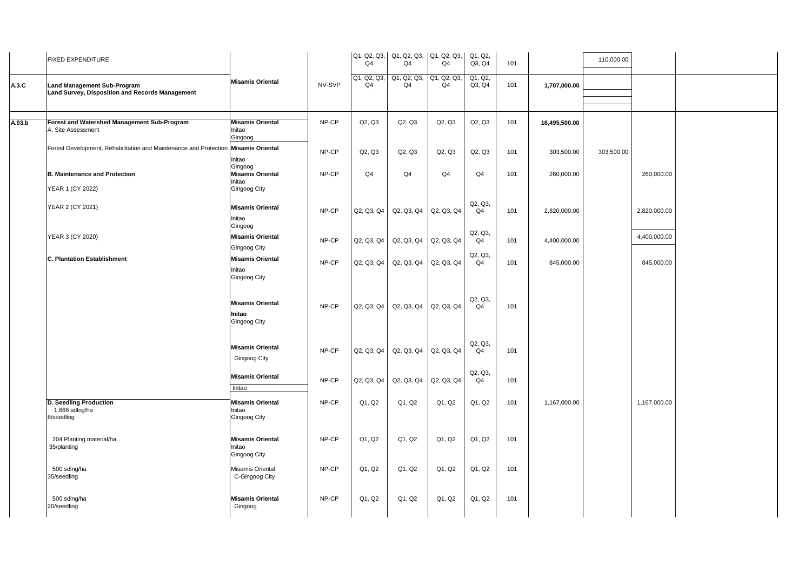|        | <b>FIXED EXPENDITURE</b>                                                              |                                                              |        | Q <sub>4</sub>                | Q1, Q2, Q3, Q1, Q2, Q3, Q1, Q2, Q3,<br>Q <sub>4</sub> | Q <sub>4</sub> | Q1, Q2,<br>Q3, Q4         | 101 |               | 110,000.00 |              |
|--------|---------------------------------------------------------------------------------------|--------------------------------------------------------------|--------|-------------------------------|-------------------------------------------------------|----------------|---------------------------|-----|---------------|------------|--------------|
| A.3.C  | <b>Land Management Sub-Program</b><br>Land Survey, Disposition and Records Management | <b>Misamis Oriental</b>                                      | NV-SVP | Q1, Q2, Q3,<br>Q <sub>4</sub> | Q1, Q2, Q3, Q1, Q2, Q3,<br>Q4                         | Q <sub>4</sub> | Q1, Q2,<br>Q3, Q4         | 101 | 1,707,000.00  |            |              |
| A.03.b | Forest and Watershed Management Sub-Program<br>A. Site Assessment                     | <b>Misamis Oriental</b><br>Initao<br>Gingoog                 | NP-CP  | Q2, Q3                        | Q2, Q3                                                | Q2, Q3         | Q2, Q3                    | 101 | 16,495,500.00 |            |              |
|        | Forest Development, Rehabilitation and Maintenance and Protection                     | <b>Misamis Oriental</b><br>Initao                            | NP-CP  | Q2, Q3                        | Q2, Q3                                                | Q2, Q3         | Q2, Q3                    | 101 | 303,500.00    | 303,500.00 |              |
|        | <b>B. Maintenance and Protection</b><br>YEAR 1 (CY 2022)                              | Gingoog<br><b>Misamis Oriental</b><br>Initao<br>Gingoog City | NP-CP  | Q <sub>4</sub>                | Q <sub>4</sub>                                        | Q4             | Q <sub>4</sub>            | 101 | 260,000.00    |            | 260,000.00   |
|        | YEAR 2 (CY 2021)                                                                      | <b>Misamis Oriental</b><br>Initao<br>Gingoog                 | NP-CP  | Q2, Q3, Q4                    | Q2, Q3, Q4                                            | Q2, Q3, Q4     | Q2, Q3,<br>Q <sub>4</sub> | 101 | 2,820,000.00  |            | 2,820,000.00 |
|        | YEAR 3 (CY 2020)                                                                      | <b>Misamis Oriental</b><br>Gingoog City                      | NP-CP  | Q2, Q3, Q4                    | Q2, Q3, Q4                                            | Q2, Q3, Q4     | Q2, Q3,<br>Q <sub>4</sub> | 101 | 4,400,000.00  |            | 4,400,000.00 |
|        | <b>C. Plantation Establishment</b>                                                    | <b>Misamis Oriental</b><br>Initao<br>Gingoog City            | NP-CP  | Q2, Q3, Q4                    | Q2, Q3, Q4                                            | Q2, Q3, Q4     | Q2, Q3,<br>Q <sub>4</sub> | 101 | 845,000.00    |            | 845,000.00   |
|        |                                                                                       | <b>Misamis Oriental</b><br>Initao<br>Gingoog City            | NP-CP  | Q2, Q3, Q4                    | Q2, Q3, Q4                                            | Q2, Q3, Q4     | Q2, Q3,<br>Q <sub>4</sub> | 101 |               |            |              |
|        |                                                                                       | <b>Misamis Oriental</b><br>Gingoog City                      | NP-CP  | Q2, Q3, Q4                    | Q2, Q3, Q4                                            | Q2, Q3, Q4     | Q2, Q3,<br>Q <sub>4</sub> | 101 |               |            |              |
|        |                                                                                       | <b>Misamis Oriental</b><br>Initao                            | NP-CP  | Q2, Q3, Q4                    | Q2, Q3, Q4                                            | Q2, Q3, Q4     | Q2, Q3,<br>Q4             | 101 |               |            |              |
|        | D. Seedling Production<br>1,666 sdlng/ha<br>8/seedling                                | <b>Misamis Oriental</b><br>Initao<br>Gingoog City            | NP-CP  | Q1, Q2                        | Q1, Q2                                                | Q1, Q2         | Q1, Q2                    | 101 | 1,167,000.00  |            | 1,167,000.00 |
|        | 204 Planting material/ha<br>35/planting                                               | <b>Misamis Oriental</b><br>Initao<br>Gingoog City            | NP-CP  | Q1, Q2                        | Q1, Q2                                                | Q1, Q2         | Q1, Q2                    | 101 |               |            |              |
|        | 500 sdlng/ha<br>35/seedling                                                           | Misamis Oriental<br>C-Gingoog City                           | NP-CP  | Q1, Q2                        | Q1, Q2                                                | Q1, Q2         | Q1, Q2                    | 101 |               |            |              |
|        | 500 sdlng/ha<br>20/seedling                                                           | <b>Misamis Oriental</b><br>Gingoog                           | NP-CP  | Q1, Q2                        | Q1, Q2                                                | Q1, Q2         | Q1, Q2                    | 101 |               |            |              |